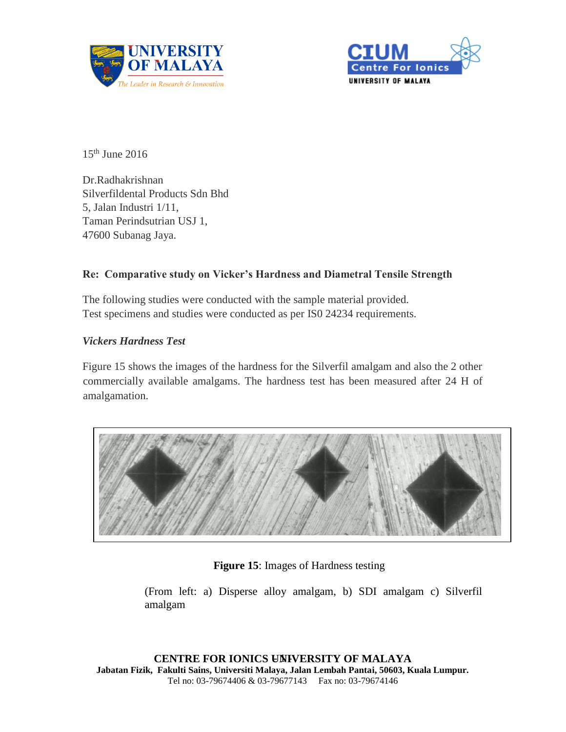



15th June 2016

Dr.Radhakrishnan Silverfildental Products Sdn Bhd 5, Jalan Industri 1/11, Taman Perindsutrian USJ 1, 47600 Subanag Jaya.

# **Re: Comparative study on Vicker's Hardness and Diametral Tensile Strength**

The following studies were conducted with the sample material provided. Test specimens and studies were conducted as per IS0 24234 requirements.

### *Vickers Hardness Test*

Figure 15 shows the images of the hardness for the Silverfil amalgam and also the 2 other commercially available amalgams. The hardness test has been measured after 24 H of amalgamation.



## **Figure 15**: Images of Hardness testing

(From left: a) Disperse alloy amalgam, b) SDI amalgam c) Silverfil amalgam

**CENTRE FOR IONICS UNIVERSITY OF MALAYA Jabatan Fizik, Fakulti Sains, Universiti Malaya, Jalan Lembah Pantai, 50603, Kuala Lumpur.** Tel no: 03-79674406 & 03-79677143 Fax no: 03-79674146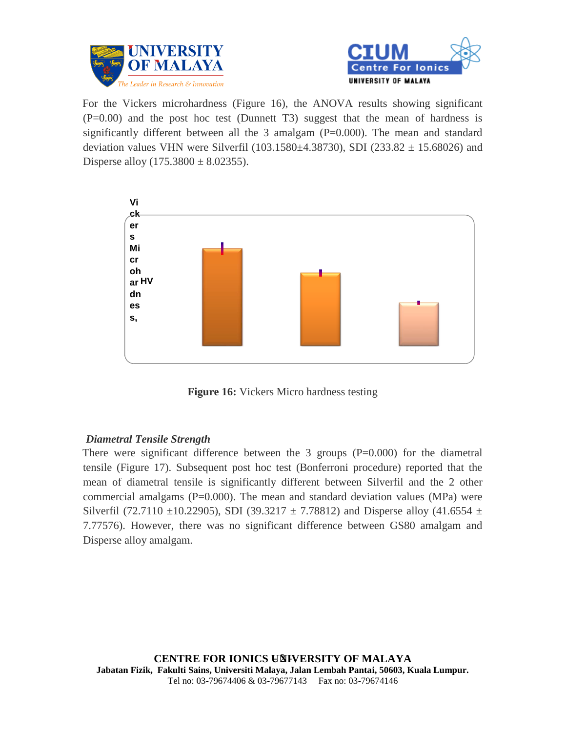



For the Vickers microhardness (Figure 16), the ANOVA results showing significant (P=0.00) and the post hoc test (Dunnett T3) suggest that the mean of hardness is significantly different between all the 3 amalgam (P=0.000). The mean and standard deviation values VHN were Silverfil (103.1580 $\pm$ 4.38730), SDI (233.82  $\pm$  15.68026) and Disperse alloy  $(175.3800 \pm 8.02355)$ .



**Figure 16:** Vickers Micro hardness testing

# *Diametral Tensile Strength*

There were significant difference between the 3 groups (P=0.000) for the diametral tensile (Figure 17). Subsequent post hoc test (Bonferroni procedure) reported that the mean of diametral tensile is significantly different between Silverfil and the 2 other commercial amalgams ( $P=0.000$ ). The mean and standard deviation values (MPa) were Silverfil (72.7110  $\pm$ 10.22905), SDI (39.3217  $\pm$  7.78812) and Disperse alloy (41.6554  $\pm$ 7.77576). However, there was no significant difference between GS80 amalgam and Disperse alloy amalgam.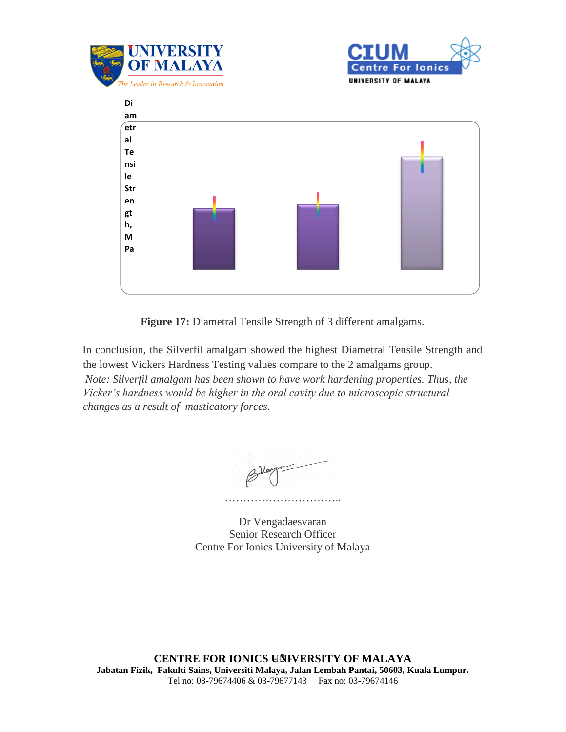





Figure 17: Diametral Tensile Strength of 3 different amalgams.

In conclusion, the Silverfil amalgam showed the highest Diametral Tensile Strength and the lowest Vickers Hardness Testing values compare to the 2 amalgams group. *Note: Silverfil amalgam has been shown to have work hardening properties. Thus, the Vicker's hardness would be higher in the oral cavity due to microscopic structural changes as a result of masticatory forces.*

…………………………..

Dr Vengadaesvaran Senior Research Officer Centre For Ionics University of Malaya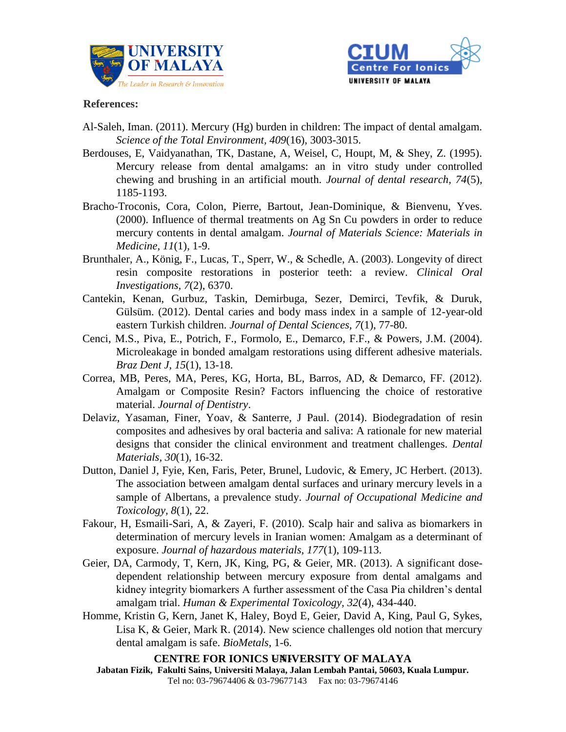



### **References:**

- Al-Saleh, Iman. (2011). Mercury (Hg) burden in children: The impact of dental amalgam. *Science of the Total Environment, 409*(16), 3003-3015.
- Berdouses, E, Vaidyanathan, TK, Dastane, A, Weisel, C, Houpt, M, & Shey, Z. (1995). Mercury release from dental amalgams: an in vitro study under controlled chewing and brushing in an artificial mouth. *Journal of dental research, 74*(5), 1185-1193.
- Bracho-Troconis, Cora, Colon, Pierre, Bartout, Jean-Dominique, & Bienvenu, Yves. (2000). Influence of thermal treatments on Ag Sn Cu powders in order to reduce mercury contents in dental amalgam. *Journal of Materials Science: Materials in Medicine, 11*(1), 1-9.
- Brunthaler, A., König, F., Lucas, T., Sperr, W., & Schedle, A. (2003). Longevity of direct resin composite restorations in posterior teeth: a review. *Clinical Oral Investigations, 7*(2), 6370.
- Cantekin, Kenan, Gurbuz, Taskin, Demirbuga, Sezer, Demirci, Tevfik, & Duruk, Gülsüm. (2012). Dental caries and body mass index in a sample of 12-year-old eastern Turkish children. *Journal of Dental Sciences, 7*(1), 77-80.
- Cenci, M.S., Piva, E., Potrich, F., Formolo, E., Demarco, F.F., & Powers, J.M. (2004). Microleakage in bonded amalgam restorations using different adhesive materials. *Braz Dent J, 15*(1), 13-18.
- Correa, MB, Peres, MA, Peres, KG, Horta, BL, Barros, AD, & Demarco, FF. (2012). Amalgam or Composite Resin? Factors influencing the choice of restorative material. *Journal of Dentistry*.
- Delaviz, Yasaman, Finer, Yoav, & Santerre, J Paul. (2014). Biodegradation of resin composites and adhesives by oral bacteria and saliva: A rationale for new material designs that consider the clinical environment and treatment challenges. *Dental Materials, 30*(1), 16-32.
- Dutton, Daniel J, Fyie, Ken, Faris, Peter, Brunel, Ludovic, & Emery, JC Herbert. (2013). The association between amalgam dental surfaces and urinary mercury levels in a sample of Albertans, a prevalence study. *Journal of Occupational Medicine and Toxicology, 8*(1), 22.
- Fakour, H, Esmaili-Sari, A, & Zayeri, F. (2010). Scalp hair and saliva as biomarkers in determination of mercury levels in Iranian women: Amalgam as a determinant of exposure. *Journal of hazardous materials, 177*(1), 109-113.
- Geier, DA, Carmody, T, Kern, JK, King, PG, & Geier, MR. (2013). A significant dosedependent relationship between mercury exposure from dental amalgams and kidney integrity biomarkers A further assessment of the Casa Pia children's dental amalgam trial. *Human & Experimental Toxicology, 32*(4), 434-440.
- Homme, Kristin G, Kern, Janet K, Haley, Boyd E, Geier, David A, King, Paul G, Sykes, Lisa K, & Geier, Mark R. (2014). New science challenges old notion that mercury dental amalgam is safe. *BioMetals*, 1-6.

# **CENTRE FOR IONICS UNIVERSITY OF MALAYA**

**Jabatan Fizik, Fakulti Sains, Universiti Malaya, Jalan Lembah Pantai, 50603, Kuala Lumpur.** Tel no: 03-79674406 & 03-79677143 Fax no: 03-79674146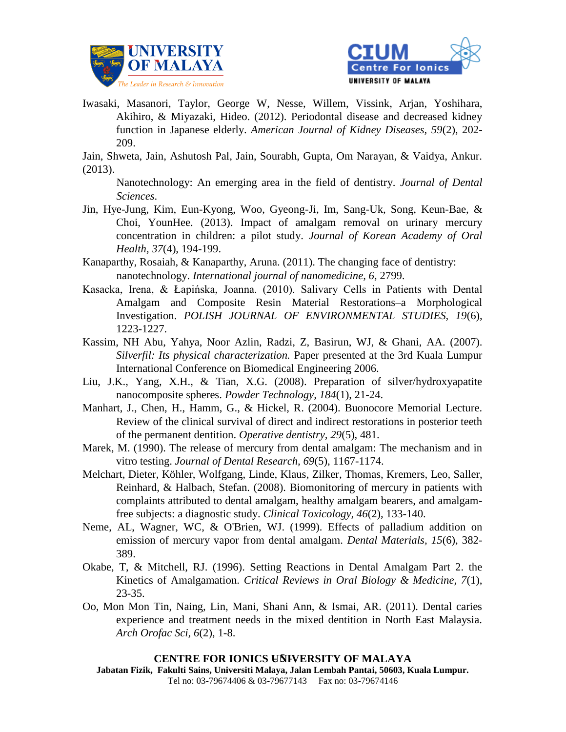



Iwasaki, Masanori, Taylor, George W, Nesse, Willem, Vissink, Arjan, Yoshihara, Akihiro, & Miyazaki, Hideo. (2012). Periodontal disease and decreased kidney function in Japanese elderly. *American Journal of Kidney Diseases, 59*(2), 202- 209.

Jain, Shweta, Jain, Ashutosh Pal, Jain, Sourabh, Gupta, Om Narayan, & Vaidya, Ankur. (2013).

Nanotechnology: An emerging area in the field of dentistry. *Journal of Dental Sciences*.

- Jin, Hye-Jung, Kim, Eun-Kyong, Woo, Gyeong-Ji, Im, Sang-Uk, Song, Keun-Bae, & Choi, YounHee. (2013). Impact of amalgam removal on urinary mercury concentration in children: a pilot study. *Journal of Korean Academy of Oral Health, 37*(4), 194-199.
- Kanaparthy, Rosaiah, & Kanaparthy, Aruna. (2011). The changing face of dentistry: nanotechnology. *International journal of nanomedicine, 6*, 2799.
- Kasacka, Irena, & Łapińska, Joanna. (2010). Salivary Cells in Patients with Dental Amalgam and Composite Resin Material Restorations–a Morphological Investigation. *POLISH JOURNAL OF ENVIRONMENTAL STUDIES, 19*(6), 1223-1227.
- Kassim, NH Abu, Yahya, Noor Azlin, Radzi, Z, Basirun, WJ, & Ghani, AA. (2007). *Silverfil: Its physical characterization.* Paper presented at the 3rd Kuala Lumpur International Conference on Biomedical Engineering 2006.
- Liu, J.K., Yang, X.H., & Tian, X.G. (2008). Preparation of silver/hydroxyapatite nanocomposite spheres. *Powder Technology, 184*(1), 21-24.
- Manhart, J., Chen, H., Hamm, G., & Hickel, R. (2004). Buonocore Memorial Lecture. Review of the clinical survival of direct and indirect restorations in posterior teeth of the permanent dentition. *Operative dentistry, 29*(5), 481.
- Marek, M. (1990). The release of mercury from dental amalgam: The mechanism and in vitro testing. *Journal of Dental Research, 69*(5), 1167-1174.
- Melchart, Dieter, Köhler, Wolfgang, Linde, Klaus, Zilker, Thomas, Kremers, Leo, Saller, Reinhard, & Halbach, Stefan. (2008). Biomonitoring of mercury in patients with complaints attributed to dental amalgam, healthy amalgam bearers, and amalgamfree subjects: a diagnostic study. *Clinical Toxicology, 46*(2), 133-140.
- Neme, AL, Wagner, WC, & O'Brien, WJ. (1999). Effects of palladium addition on emission of mercury vapor from dental amalgam. *Dental Materials, 15*(6), 382- 389.
- Okabe, T, & Mitchell, RJ. (1996). Setting Reactions in Dental Amalgam Part 2. the Kinetics of Amalgamation. *Critical Reviews in Oral Biology & Medicine, 7*(1), 23-35.
- Oo, Mon Mon Tin, Naing, Lin, Mani, Shani Ann, & Ismai, AR. (2011). Dental caries experience and treatment needs in the mixed dentition in North East Malaysia. *Arch Orofac Sci, 6*(2), 1-8.

### **CENTRE FOR IONICS UNIVERSITY OF MALAYA**

**Jabatan Fizik, Fakulti Sains, Universiti Malaya, Jalan Lembah Pantai, 50603, Kuala Lumpur.** Tel no: 03-79674406 & 03-79677143 Fax no: 03-79674146